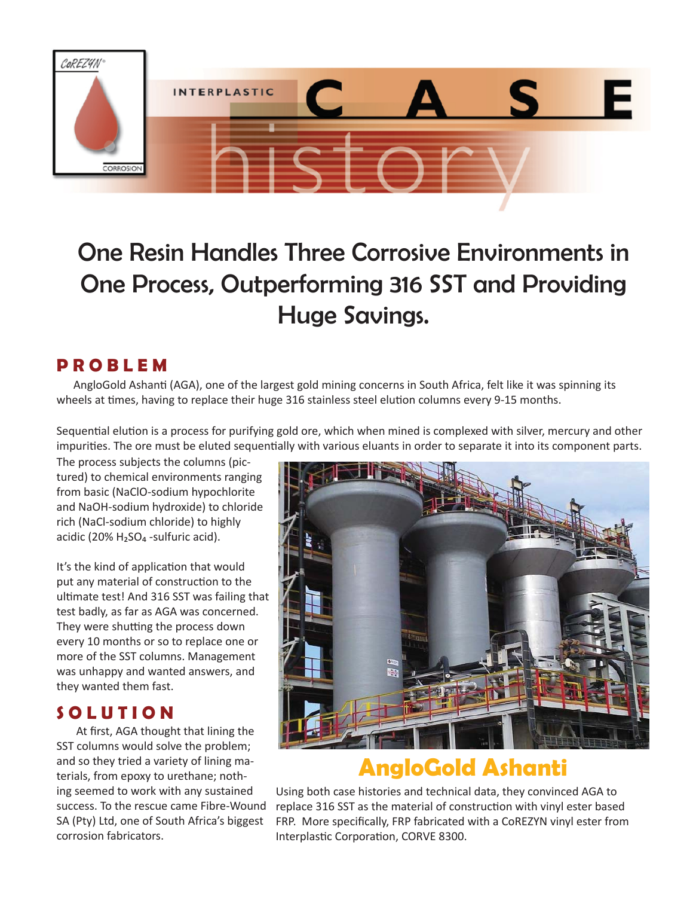

# One Resin Handles Three Corrosive Environments in One Process, Outperforming 316 SST and Providing Huge Savings.

### **P R O B L E M**

 AngloGold Ashanti (AGA), one of the largest gold mining concerns in South Africa, felt like it was spinning its wheels at times, having to replace their huge 316 stainless steel elution columns every 9-15 months.

impurities. The ore must be eluted sequentially with various eluants in order to separate it into its component parts. Sequential elution is a process for purifying gold ore, which when mined is complexed with silver, mercury and other

The process subjects the columns (pictured) to chemical environments ranging from basic (NaClO-sodium hypochlorite and NaOH-sodium hydroxide) to chloride rich (NaCl-sodium chloride) to highly acidic (20%  $H<sub>2</sub>SO<sub>4</sub>$ -sulfuric acid).

It's the kind of application that would put any material of construction to the ultimate test! And 316 SST was failing that test badly, as far as AGA was concerned. They were shutting the process down every 10 months or so to replace one or more of the SST columns. Management was unhappy and wanted answers, and they wanted them fast.

#### **S O L U T I O N**

At first, AGA thought that lining the SST columns would solve the problem; and so they tried a variety of lining materials, from epoxy to urethane; nothing seemed to work with any sustained success. To the rescue came Fibre-Wound SA (Pty) Ltd, one of South Africa's biggest corrosion fabricators.



## **AngloGold Ashanti**

Using both case histories and technical data, they convinced AGA to replace 316 SST as the material of construction with vinyl ester based FRP. More specifically, FRP fabricated with a CoREZYN vinyl ester from Interplastic Corporation, CORVE 8300.